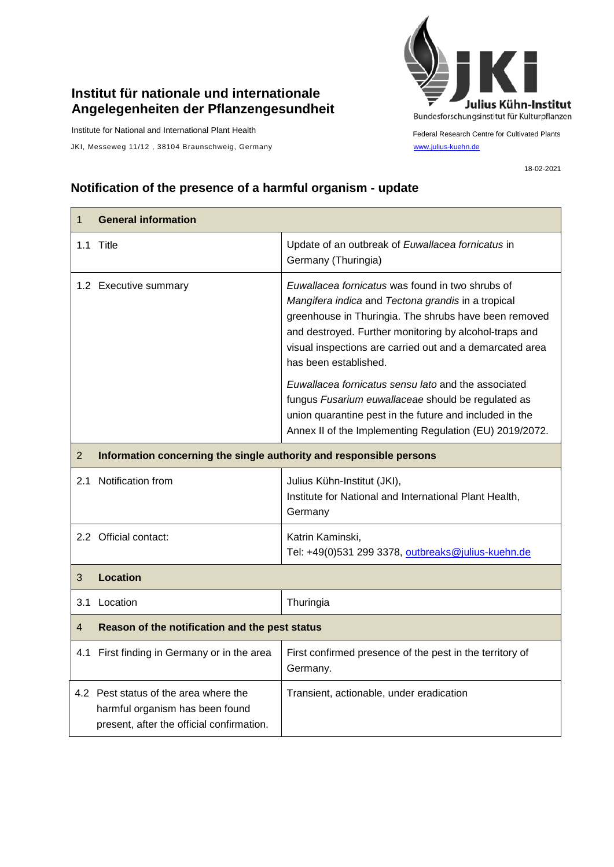## **Institut für nationale und internationale Angelegenheiten der Pflanzengesundheit**

Institute for National and International Plant Health

JKI, Messeweg 11/12, 38104 Braunschweig, Germany [www.julius-kuehn.de](http://www.julius-kuehn.de/)



Federal Research Centre for Cultivated Plants

18-02-2021

## **Notification of the presence of a harmful organism - update**

| $\mathbf{1}$   | <b>General information</b>                                                                                            |                                                                                                                                                                                                                                                                                                                |  |
|----------------|-----------------------------------------------------------------------------------------------------------------------|----------------------------------------------------------------------------------------------------------------------------------------------------------------------------------------------------------------------------------------------------------------------------------------------------------------|--|
|                | 1.1 Title                                                                                                             | Update of an outbreak of Euwallacea fornicatus in<br>Germany (Thuringia)                                                                                                                                                                                                                                       |  |
|                | 1.2 Executive summary                                                                                                 | Euwallacea fornicatus was found in two shrubs of<br>Mangifera indica and Tectona grandis in a tropical<br>greenhouse in Thuringia. The shrubs have been removed<br>and destroyed. Further monitoring by alcohol-traps and<br>visual inspections are carried out and a demarcated area<br>has been established. |  |
|                |                                                                                                                       | Euwallacea fornicatus sensu lato and the associated<br>fungus Fusarium euwallaceae should be regulated as<br>union quarantine pest in the future and included in the<br>Annex II of the Implementing Regulation (EU) 2019/2072.                                                                                |  |
| $\overline{2}$ | Information concerning the single authority and responsible persons                                                   |                                                                                                                                                                                                                                                                                                                |  |
| 2.1            | Notification from                                                                                                     | Julius Kühn-Institut (JKI),<br>Institute for National and International Plant Health,<br>Germany                                                                                                                                                                                                               |  |
|                | 2.2 Official contact:                                                                                                 | Katrin Kaminski,<br>Tel: +49(0)531 299 3378, outbreaks@julius-kuehn.de                                                                                                                                                                                                                                         |  |
| 3              | <b>Location</b>                                                                                                       |                                                                                                                                                                                                                                                                                                                |  |
|                | 3.1 Location                                                                                                          | Thuringia                                                                                                                                                                                                                                                                                                      |  |
| 4              | Reason of the notification and the pest status                                                                        |                                                                                                                                                                                                                                                                                                                |  |
|                | 4.1 First finding in Germany or in the area                                                                           | First confirmed presence of the pest in the territory of<br>Germany.                                                                                                                                                                                                                                           |  |
|                | 4.2 Pest status of the area where the<br>harmful organism has been found<br>present, after the official confirmation. | Transient, actionable, under eradication                                                                                                                                                                                                                                                                       |  |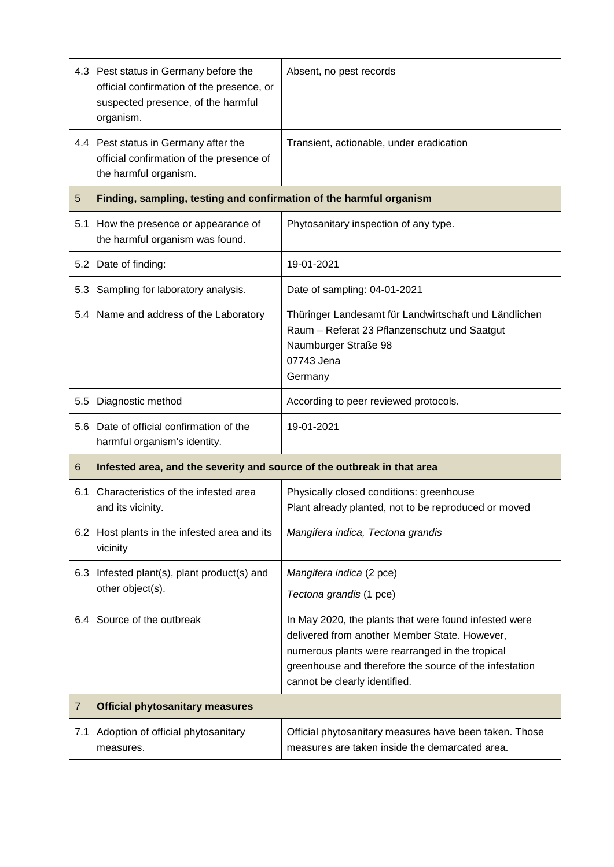|         | 4.3 Pest status in Germany before the<br>official confirmation of the presence, or<br>suspected presence, of the harmful<br>organism. | Absent, no pest records                                                                                                                                                                                                                              |  |
|---------|---------------------------------------------------------------------------------------------------------------------------------------|------------------------------------------------------------------------------------------------------------------------------------------------------------------------------------------------------------------------------------------------------|--|
|         | 4.4 Pest status in Germany after the<br>official confirmation of the presence of<br>the harmful organism.                             | Transient, actionable, under eradication                                                                                                                                                                                                             |  |
| 5       | Finding, sampling, testing and confirmation of the harmful organism                                                                   |                                                                                                                                                                                                                                                      |  |
| 5.1     | How the presence or appearance of<br>the harmful organism was found.                                                                  | Phytosanitary inspection of any type.                                                                                                                                                                                                                |  |
|         | 5.2 Date of finding:                                                                                                                  | 19-01-2021                                                                                                                                                                                                                                           |  |
|         | 5.3 Sampling for laboratory analysis.                                                                                                 | Date of sampling: 04-01-2021                                                                                                                                                                                                                         |  |
|         | 5.4 Name and address of the Laboratory                                                                                                | Thüringer Landesamt für Landwirtschaft und Ländlichen<br>Raum - Referat 23 Pflanzenschutz und Saatgut<br>Naumburger Straße 98<br>07743 Jena<br>Germany                                                                                               |  |
| $5.5\,$ | Diagnostic method                                                                                                                     | According to peer reviewed protocols.                                                                                                                                                                                                                |  |
|         | 5.6 Date of official confirmation of the<br>harmful organism's identity.                                                              | 19-01-2021                                                                                                                                                                                                                                           |  |
| 6       | Infested area, and the severity and source of the outbreak in that area                                                               |                                                                                                                                                                                                                                                      |  |
| 6.1     | Characteristics of the infested area<br>and its vicinity.                                                                             | Physically closed conditions: greenhouse<br>Plant already planted, not to be reproduced or moved                                                                                                                                                     |  |
|         | 6.2 Host plants in the infested area and its<br>vicinity                                                                              | Mangifera indica, Tectona grandis                                                                                                                                                                                                                    |  |
|         | 6.3 Infested plant(s), plant product(s) and                                                                                           | Mangifera indica (2 pce)                                                                                                                                                                                                                             |  |
|         | other object(s).                                                                                                                      | Tectona grandis (1 pce)                                                                                                                                                                                                                              |  |
|         | 6.4 Source of the outbreak                                                                                                            | In May 2020, the plants that were found infested were<br>delivered from another Member State. However,<br>numerous plants were rearranged in the tropical<br>greenhouse and therefore the source of the infestation<br>cannot be clearly identified. |  |
| 7       | <b>Official phytosanitary measures</b>                                                                                                |                                                                                                                                                                                                                                                      |  |
| 7.1     | Adoption of official phytosanitary<br>measures.                                                                                       | Official phytosanitary measures have been taken. Those<br>measures are taken inside the demarcated area.                                                                                                                                             |  |